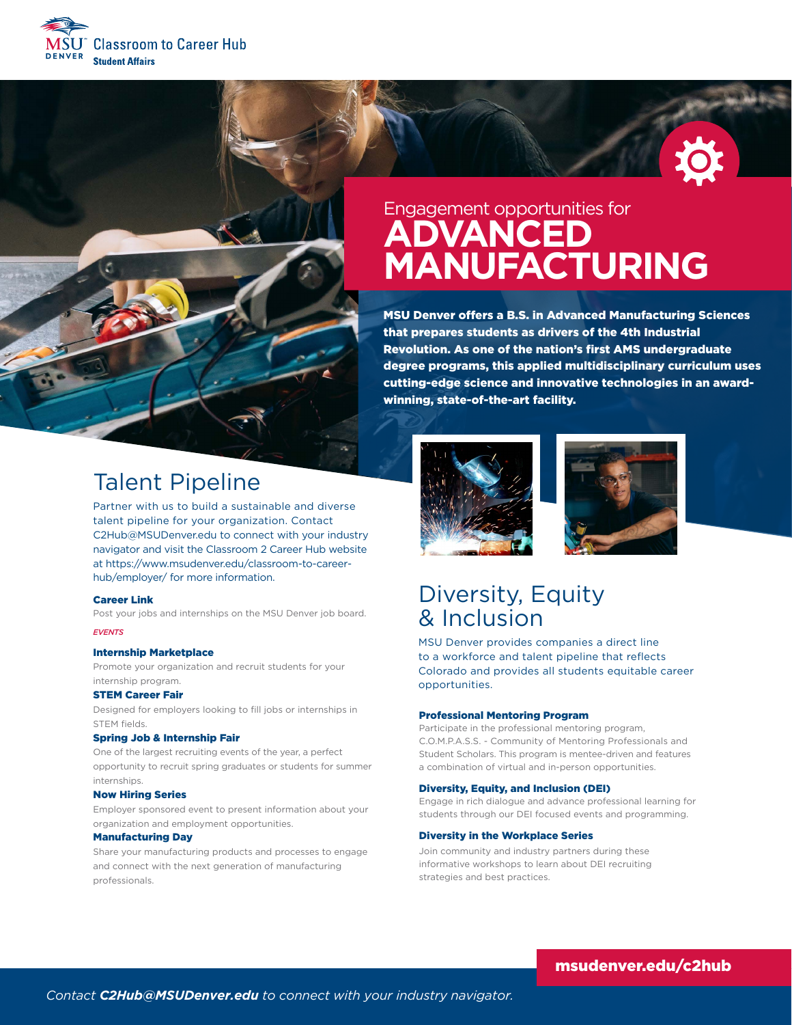





# Engagement opportunities for **ADVANCED MANUFACTURING**

MSU Denver offers a B.S. in Advanced Manufacturing Sciences that prepares students as drivers of the 4th Industrial Revolution. As one of the nation's first AMS undergraduate degree programs, this applied multidisciplinary curriculum uses cutting-edge science and innovative technologies in an awardwinning, state-of-the-art facility.





## Diversity, Equity & Inclusion

MSU Denver provides companies a direct line to a workforce and talent pipeline that reflects Colorado and provides all students equitable career opportunities.

#### Professional Mentoring Program

Participate in the professional mentoring program, C.O.M.P.A.S.S. - Community of Mentoring Professionals and Student Scholars. This program is mentee-driven and features a combination of virtual and in-person opportunities.

#### Diversity, Equity, and Inclusion (DEI)

Engage in rich dialogue and advance professional learning for students through our DEI focused events and programming.

#### Diversity in the Workplace Series

Join community and industry partners during these informative workshops to learn about DEI recruiting strategies and best practices.

# Talent Pipeline

Partner with us to build a sustainable and diverse talent pipeline for your organization. Contact C2Hub@MSUDenver.edu to connect with your industry navigator and visit the Classroom 2 Career Hub website at https://www.msudenver.edu/classroom-to-careerhub/employer/ for more information.

#### Career Link

Post your jobs and internships on the MSU Denver job board.

### *EVENTS*

#### Internship Marketplace

Promote your organization and recruit students for your internship program.

#### STEM Career Fair

Designed for employers looking to fill jobs or internships in STEM fields.

#### Spring Job & Internship Fair

One of the largest recruiting events of the year, a perfect opportunity to recruit spring graduates or students for summer internships.

#### Now Hiring Series

Employer sponsored event to present information about your organization and employment opportunities.

### Manufacturing Day

Share your manufacturing products and processes to engage and connect with the next generation of manufacturing professionals.